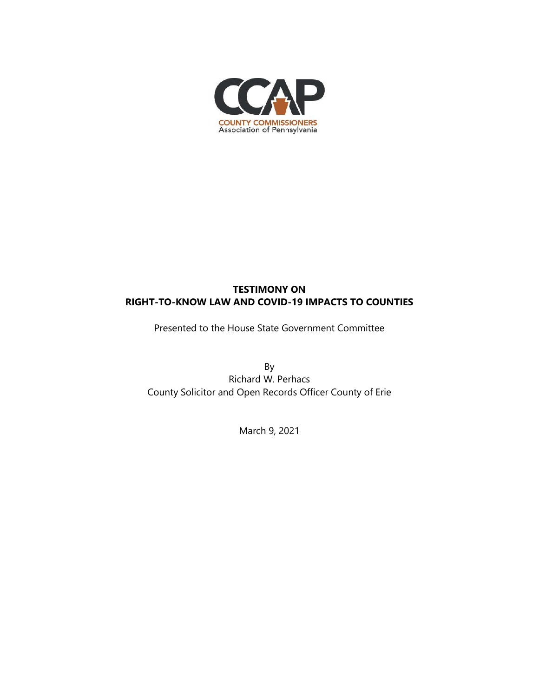

# **TESTIMONY ON RIGHT-TO-KNOW LAW AND COVID-19 IMPACTS TO COUNTIES**

Presented to the House State Government Committee

By Richard W. Perhacs County Solicitor and Open Records Officer County of Erie

March 9, 2021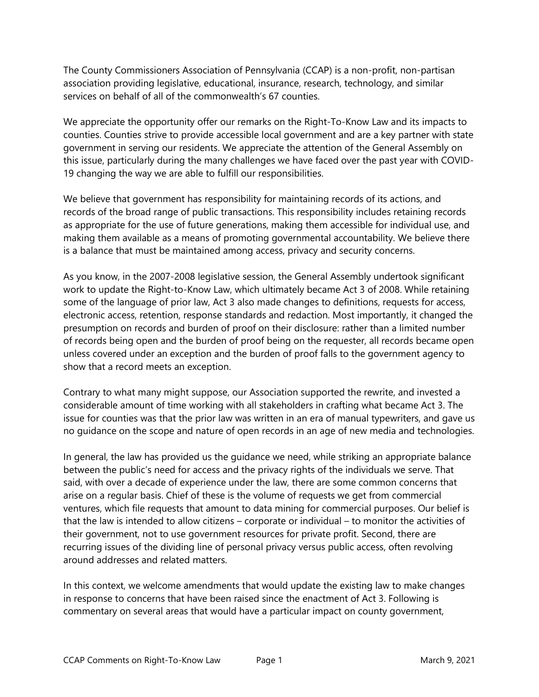The County Commissioners Association of Pennsylvania (CCAP) is a non-profit, non-partisan association providing legislative, educational, insurance, research, technology, and similar services on behalf of all of the commonwealth's 67 counties.

We appreciate the opportunity offer our remarks on the Right-To-Know Law and its impacts to counties. Counties strive to provide accessible local government and are a key partner with state government in serving our residents. We appreciate the attention of the General Assembly on this issue, particularly during the many challenges we have faced over the past year with COVID-19 changing the way we are able to fulfill our responsibilities.

We believe that government has responsibility for maintaining records of its actions, and records of the broad range of public transactions. This responsibility includes retaining records as appropriate for the use of future generations, making them accessible for individual use, and making them available as a means of promoting governmental accountability. We believe there is a balance that must be maintained among access, privacy and security concerns.

As you know, in the 2007-2008 legislative session, the General Assembly undertook significant work to update the Right-to-Know Law, which ultimately became Act 3 of 2008. While retaining some of the language of prior law, Act 3 also made changes to definitions, requests for access, electronic access, retention, response standards and redaction. Most importantly, it changed the presumption on records and burden of proof on their disclosure: rather than a limited number of records being open and the burden of proof being on the requester, all records became open unless covered under an exception and the burden of proof falls to the government agency to show that a record meets an exception.

Contrary to what many might suppose, our Association supported the rewrite, and invested a considerable amount of time working with all stakeholders in crafting what became Act 3. The issue for counties was that the prior law was written in an era of manual typewriters, and gave us no guidance on the scope and nature of open records in an age of new media and technologies.

In general, the law has provided us the guidance we need, while striking an appropriate balance between the public's need for access and the privacy rights of the individuals we serve. That said, with over a decade of experience under the law, there are some common concerns that arise on a regular basis. Chief of these is the volume of requests we get from commercial ventures, which file requests that amount to data mining for commercial purposes. Our belief is that the law is intended to allow citizens – corporate or individual – to monitor the activities of their government, not to use government resources for private profit. Second, there are recurring issues of the dividing line of personal privacy versus public access, often revolving around addresses and related matters.

In this context, we welcome amendments that would update the existing law to make changes in response to concerns that have been raised since the enactment of Act 3. Following is commentary on several areas that would have a particular impact on county government,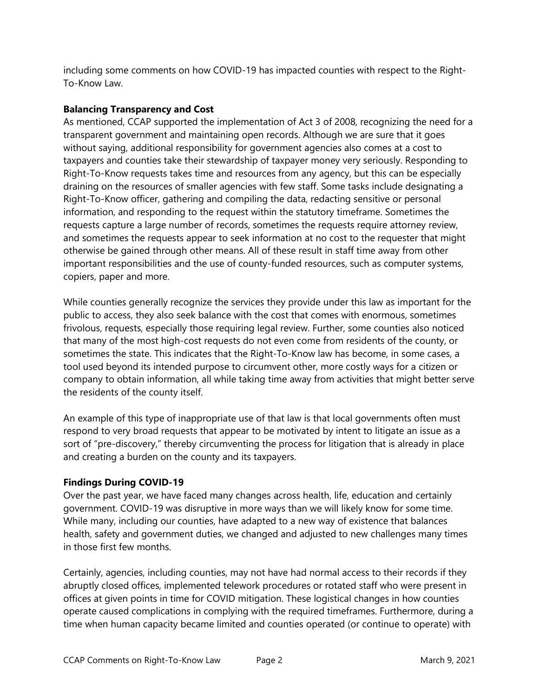including some comments on how COVID-19 has impacted counties with respect to the Right-To-Know Law.

## **Balancing Transparency and Cost**

As mentioned, CCAP supported the implementation of Act 3 of 2008, recognizing the need for a transparent government and maintaining open records. Although we are sure that it goes without saying, additional responsibility for government agencies also comes at a cost to taxpayers and counties take their stewardship of taxpayer money very seriously. Responding to Right-To-Know requests takes time and resources from any agency, but this can be especially draining on the resources of smaller agencies with few staff. Some tasks include designating a Right-To-Know officer, gathering and compiling the data, redacting sensitive or personal information, and responding to the request within the statutory timeframe. Sometimes the requests capture a large number of records, sometimes the requests require attorney review, and sometimes the requests appear to seek information at no cost to the requester that might otherwise be gained through other means. All of these result in staff time away from other important responsibilities and the use of county-funded resources, such as computer systems, copiers, paper and more.

While counties generally recognize the services they provide under this law as important for the public to access, they also seek balance with the cost that comes with enormous, sometimes frivolous, requests, especially those requiring legal review. Further, some counties also noticed that many of the most high-cost requests do not even come from residents of the county, or sometimes the state. This indicates that the Right-To-Know law has become, in some cases, a tool used beyond its intended purpose to circumvent other, more costly ways for a citizen or company to obtain information, all while taking time away from activities that might better serve the residents of the county itself.

An example of this type of inappropriate use of that law is that local governments often must respond to very broad requests that appear to be motivated by intent to litigate an issue as a sort of "pre-discovery," thereby circumventing the process for litigation that is already in place and creating a burden on the county and its taxpayers.

## **Findings During COVID-19**

Over the past year, we have faced many changes across health, life, education and certainly government. COVID-19 was disruptive in more ways than we will likely know for some time. While many, including our counties, have adapted to a new way of existence that balances health, safety and government duties, we changed and adjusted to new challenges many times in those first few months.

Certainly, agencies, including counties, may not have had normal access to their records if they abruptly closed offices, implemented telework procedures or rotated staff who were present in offices at given points in time for COVID mitigation. These logistical changes in how counties operate caused complications in complying with the required timeframes. Furthermore, during a time when human capacity became limited and counties operated (or continue to operate) with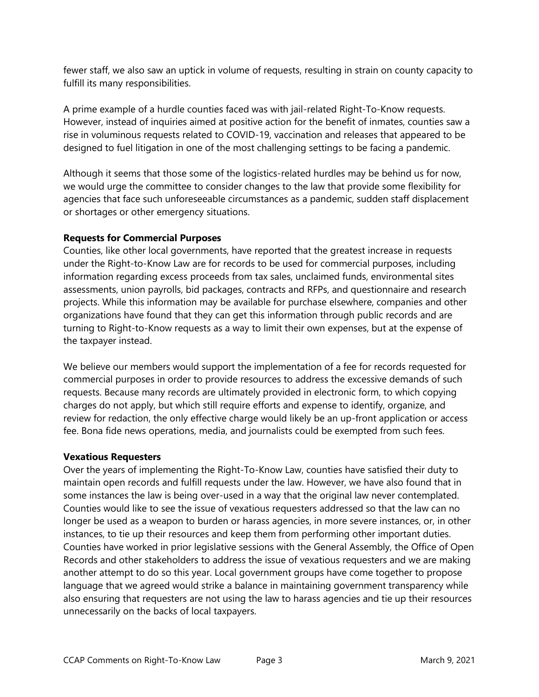fewer staff, we also saw an uptick in volume of requests, resulting in strain on county capacity to fulfill its many responsibilities.

A prime example of a hurdle counties faced was with jail-related Right-To-Know requests. However, instead of inquiries aimed at positive action for the benefit of inmates, counties saw a rise in voluminous requests related to COVID-19, vaccination and releases that appeared to be designed to fuel litigation in one of the most challenging settings to be facing a pandemic.

Although it seems that those some of the logistics-related hurdles may be behind us for now, we would urge the committee to consider changes to the law that provide some flexibility for agencies that face such unforeseeable circumstances as a pandemic, sudden staff displacement or shortages or other emergency situations.

#### **Requests for Commercial Purposes**

Counties, like other local governments, have reported that the greatest increase in requests under the Right-to-Know Law are for records to be used for commercial purposes, including information regarding excess proceeds from tax sales, unclaimed funds, environmental sites assessments, union payrolls, bid packages, contracts and RFPs, and questionnaire and research projects. While this information may be available for purchase elsewhere, companies and other organizations have found that they can get this information through public records and are turning to Right-to-Know requests as a way to limit their own expenses, but at the expense of the taxpayer instead.

We believe our members would support the implementation of a fee for records requested for commercial purposes in order to provide resources to address the excessive demands of such requests. Because many records are ultimately provided in electronic form, to which copying charges do not apply, but which still require efforts and expense to identify, organize, and review for redaction, the only effective charge would likely be an up-front application or access fee. Bona fide news operations, media, and journalists could be exempted from such fees.

#### **Vexatious Requesters**

Over the years of implementing the Right-To-Know Law, counties have satisfied their duty to maintain open records and fulfill requests under the law. However, we have also found that in some instances the law is being over-used in a way that the original law never contemplated. Counties would like to see the issue of vexatious requesters addressed so that the law can no longer be used as a weapon to burden or harass agencies, in more severe instances, or, in other instances, to tie up their resources and keep them from performing other important duties. Counties have worked in prior legislative sessions with the General Assembly, the Office of Open Records and other stakeholders to address the issue of vexatious requesters and we are making another attempt to do so this year. Local government groups have come together to propose language that we agreed would strike a balance in maintaining government transparency while also ensuring that requesters are not using the law to harass agencies and tie up their resources unnecessarily on the backs of local taxpayers.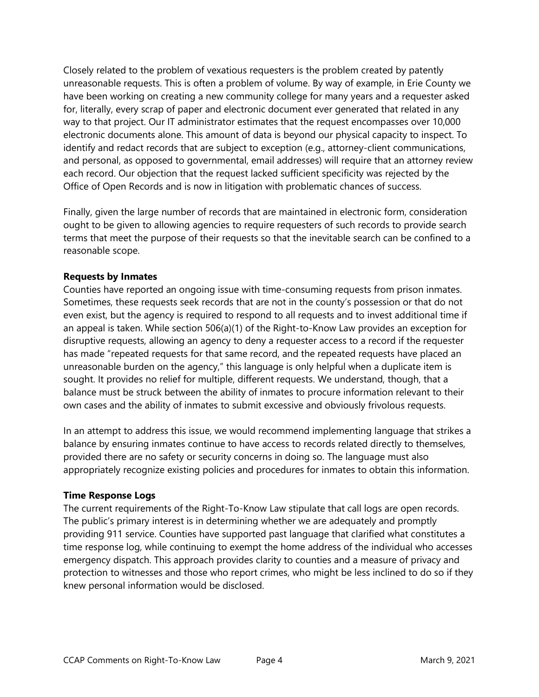Closely related to the problem of vexatious requesters is the problem created by patently unreasonable requests. This is often a problem of volume. By way of example, in Erie County we have been working on creating a new community college for many years and a requester asked for, literally, every scrap of paper and electronic document ever generated that related in any way to that project. Our IT administrator estimates that the request encompasses over 10,000 electronic documents alone. This amount of data is beyond our physical capacity to inspect. To identify and redact records that are subject to exception (e.g., attorney-client communications, and personal, as opposed to governmental, email addresses) will require that an attorney review each record. Our objection that the request lacked sufficient specificity was rejected by the Office of Open Records and is now in litigation with problematic chances of success.

Finally, given the large number of records that are maintained in electronic form, consideration ought to be given to allowing agencies to require requesters of such records to provide search terms that meet the purpose of their requests so that the inevitable search can be confined to a reasonable scope.

#### **Requests by Inmates**

Counties have reported an ongoing issue with time-consuming requests from prison inmates. Sometimes, these requests seek records that are not in the county's possession or that do not even exist, but the agency is required to respond to all requests and to invest additional time if an appeal is taken. While section 506(a)(1) of the Right-to-Know Law provides an exception for disruptive requests, allowing an agency to deny a requester access to a record if the requester has made "repeated requests for that same record, and the repeated requests have placed an unreasonable burden on the agency," this language is only helpful when a duplicate item is sought. It provides no relief for multiple, different requests. We understand, though, that a balance must be struck between the ability of inmates to procure information relevant to their own cases and the ability of inmates to submit excessive and obviously frivolous requests.

In an attempt to address this issue, we would recommend implementing language that strikes a balance by ensuring inmates continue to have access to records related directly to themselves, provided there are no safety or security concerns in doing so. The language must also appropriately recognize existing policies and procedures for inmates to obtain this information.

#### **Time Response Logs**

The current requirements of the Right-To-Know Law stipulate that call logs are open records. The public's primary interest is in determining whether we are adequately and promptly providing 911 service. Counties have supported past language that clarified what constitutes a time response log, while continuing to exempt the home address of the individual who accesses emergency dispatch. This approach provides clarity to counties and a measure of privacy and protection to witnesses and those who report crimes, who might be less inclined to do so if they knew personal information would be disclosed.